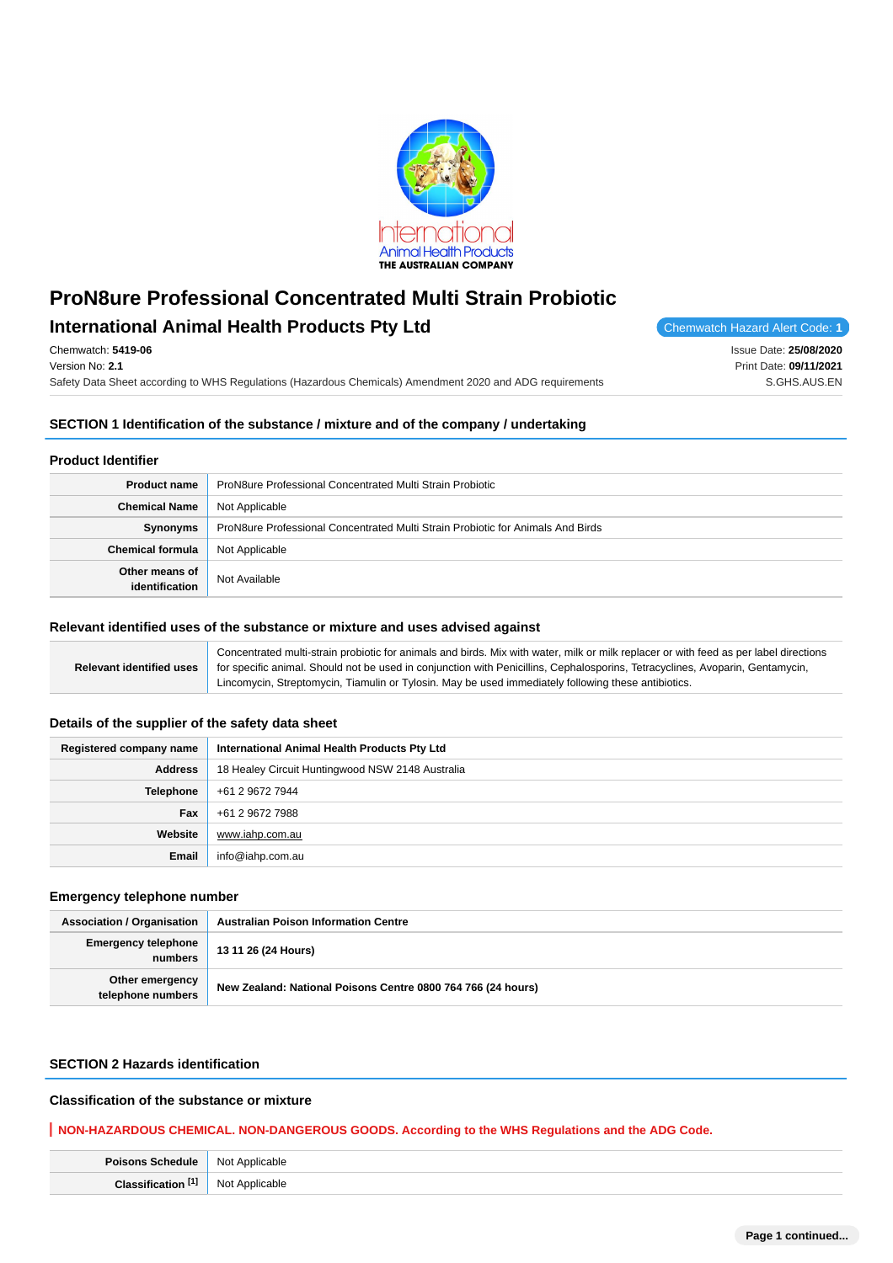

# **International Animal Health Products Pty Ltd** Chemwatch Hazard Alert Code: 1

Chemwatch: **5419-06** Version No: **2.1**

Safety Data Sheet according to WHS Regulations (Hazardous Chemicals) Amendment 2020 and ADG requirements

Issue Date: **25/08/2020** Print Date: **09/11/2021** S.GHS.AUS.EN

# **SECTION 1 Identification of the substance / mixture and of the company / undertaking**

# **Product Identifier**

| <b>Product name</b>              | ProN8ure Professional Concentrated Multi Strain Probiotic                       |
|----------------------------------|---------------------------------------------------------------------------------|
| <b>Chemical Name</b>             | Not Applicable                                                                  |
| Synonyms                         | ProN8ure Professional Concentrated Multi Strain Probiotic for Animals And Birds |
| <b>Chemical formula</b>          | Not Applicable                                                                  |
| Other means of<br>identification | Not Available                                                                   |

#### **Relevant identified uses of the substance or mixture and uses advised against**

|                            | Concentrated multi-strain probiotic for animals and birds. Mix with water, milk or milk replacer or with feed as per label directions |
|----------------------------|---------------------------------------------------------------------------------------------------------------------------------------|
| ⊪ Relevant identified uses | for specific animal. Should not be used in conjunction with Penicillins, Cephalosporins, Tetracyclines, Avoparin, Gentamycin,         |
|                            | Lincomycin, Streptomycin, Tiamulin or Tylosin. May be used immediately following these antibiotics.                                   |

# **Details of the supplier of the safety data sheet**

| Registered company name | International Animal Health Products Pty Ltd     |
|-------------------------|--------------------------------------------------|
| <b>Address</b>          | 18 Healey Circuit Huntingwood NSW 2148 Australia |
| <b>Telephone</b>        | +61 2 9672 7944                                  |
| <b>Fax</b>              | +61 2 9672 7988                                  |
| Website                 | www.iahp.com.au                                  |
| <b>Email</b>            | info@iahp.com.au                                 |

# **Emergency telephone number**

| <b>Association / Organisation</b>     | <b>Australian Poison Information Centre</b>                  |
|---------------------------------------|--------------------------------------------------------------|
| <b>Emergency telephone</b><br>numbers | 13 11 26 (24 Hours)                                          |
| Other emergency<br>telephone numbers  | New Zealand: National Poisons Centre 0800 764 766 (24 hours) |

# **SECTION 2 Hazards identification**

# **Classification of the substance or mixture**

# **NON-HAZARDOUS CHEMICAL. NON-DANGEROUS GOODS. According to the WHS Regulations and the ADG Code.**

| <b>Poisons Schedule</b> | Not Applicable |
|-------------------------|----------------|
| FAP                     | Not            |
| Cloccil                 | `Applicable    |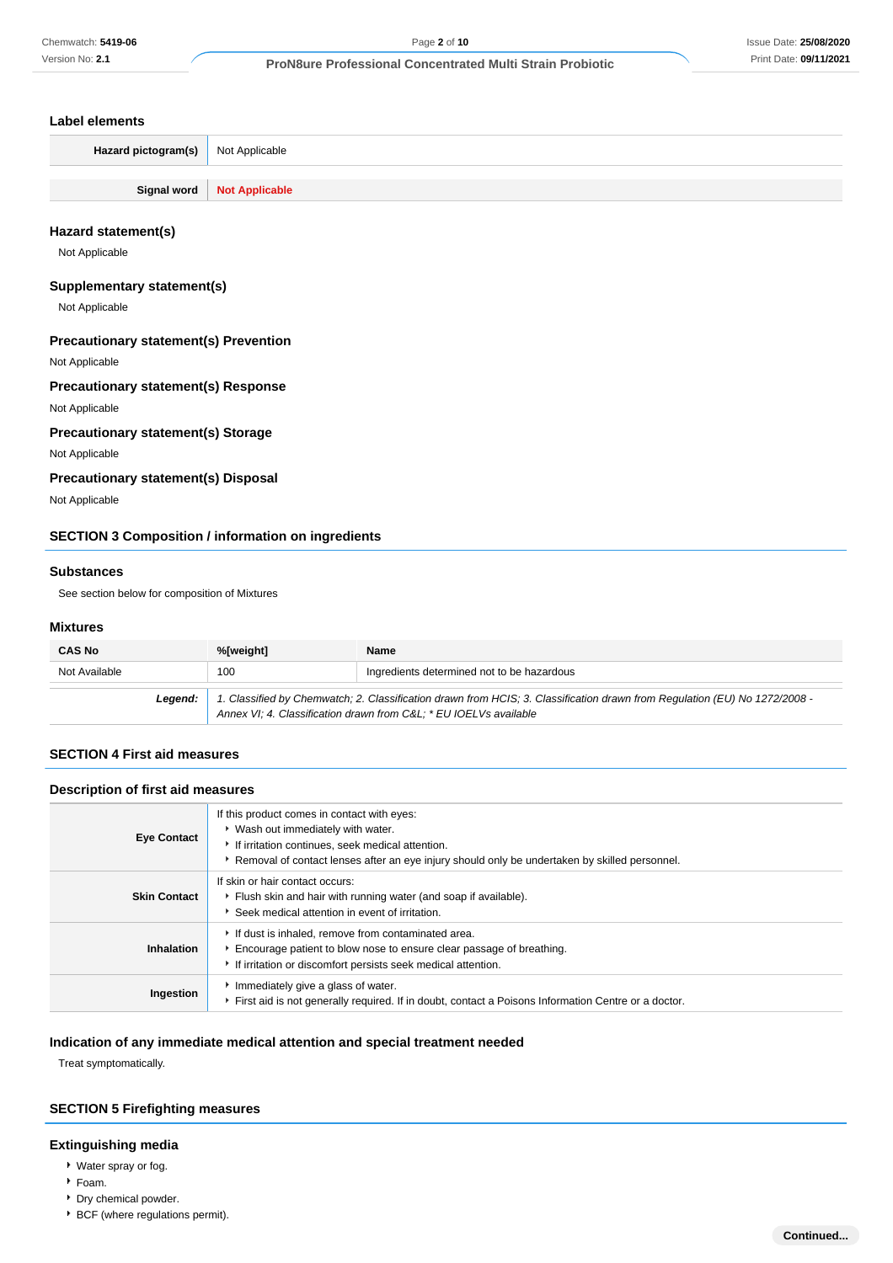### **Label elements**

| <b>Hazard pictogram(s)</b> Not Applicable |                              |
|-------------------------------------------|------------------------------|
|                                           |                              |
|                                           | Signal word   Not Applicable |

# **Hazard statement(s)**

Not Applicable

# **Supplementary statement(s)**

Not Applicable

# **Precautionary statement(s) Prevention**

Not Applicable

# **Precautionary statement(s) Response**

Not Applicable

# **Precautionary statement(s) Storage**

Not Applicable

# **Precautionary statement(s) Disposal**

Not Applicable

# **SECTION 3 Composition / information on ingredients**

#### **Substances**

See section below for composition of Mixtures

#### **Mixtures**

| <b>CAS No</b> | %[weight]                                                                                                                                                                                      | <b>Name</b>                                |
|---------------|------------------------------------------------------------------------------------------------------------------------------------------------------------------------------------------------|--------------------------------------------|
| Not Available | 100                                                                                                                                                                                            | Ingredients determined not to be hazardous |
| Leaend:       | 1. Classified by Chemwatch; 2. Classification drawn from HCIS; 3. Classification drawn from Regulation (EU) No 1272/2008 -<br>Annex VI; 4. Classification drawn from C&L * EU IOELVs available |                                            |

# **SECTION 4 First aid measures**

# **Description of first aid measures**

| <b>Eye Contact</b>  | If this product comes in contact with eyes:<br>▶ Wash out immediately with water.<br>If irritation continues, seek medical attention.<br>Removal of contact lenses after an eye injury should only be undertaken by skilled personnel. |
|---------------------|----------------------------------------------------------------------------------------------------------------------------------------------------------------------------------------------------------------------------------------|
| <b>Skin Contact</b> | If skin or hair contact occurs:<br>Flush skin and hair with running water (and soap if available).<br>Seek medical attention in event of irritation.                                                                                   |
| <b>Inhalation</b>   | If dust is inhaled, remove from contaminated area.<br>Encourage patient to blow nose to ensure clear passage of breathing.<br>If irritation or discomfort persists seek medical attention.                                             |
| Ingestion           | Immediately give a glass of water.<br>First aid is not generally required. If in doubt, contact a Poisons Information Centre or a doctor.                                                                                              |

# **Indication of any immediate medical attention and special treatment needed**

Treat symptomatically.

# **SECTION 5 Firefighting measures**

# **Extinguishing media**

- Water spray or fog.
- Foam.
- Dry chemical powder.
- **BCF** (where regulations permit).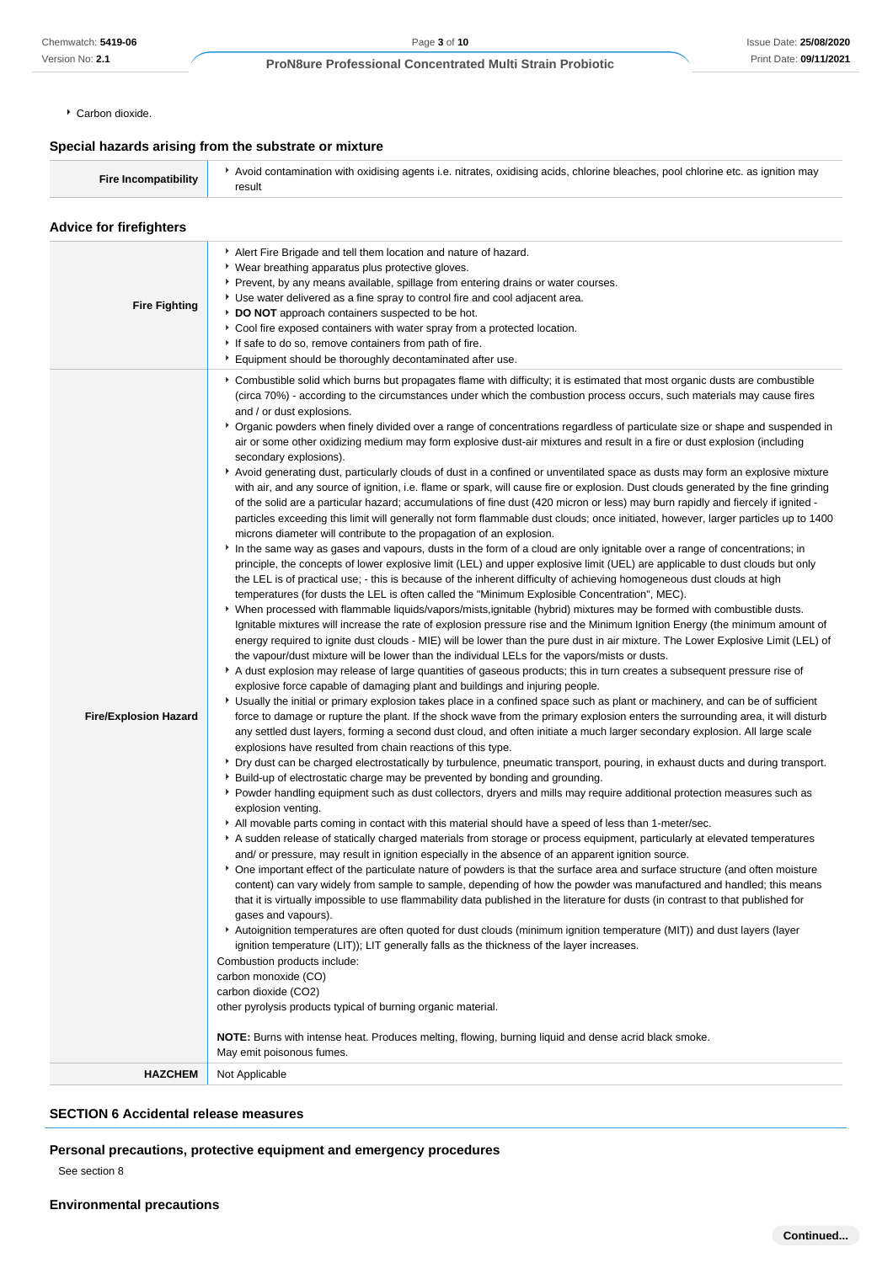Carbon dioxide.

## **Special hazards arising from the substrate or mixture**

|  | Fire Incompatibility | Avoid contamination with oxidising agents i.e. nitrates, oxidising acids, chlorine bleaches, pool chlorine etc. as ignition may<br>result |
|--|----------------------|-------------------------------------------------------------------------------------------------------------------------------------------|
|--|----------------------|-------------------------------------------------------------------------------------------------------------------------------------------|

## **Advice for firefighters Fire Fighting** Alert Fire Brigade and tell them location and nature of hazard. Wear breathing apparatus plus protective gloves. **Prevent, by any means available, spillage from entering drains or water courses.** Use water delivered as a fine spray to control fire and cool adjacent area. **DO NOT** approach containers suspected to be hot. Cool fire exposed containers with water spray from a protected location. If safe to do so, remove containers from path of fire. Equipment should be thoroughly decontaminated after use. **Fire/Explosion Hazard** Combustible solid which burns but propagates flame with difficulty; it is estimated that most organic dusts are combustible (circa 70%) - according to the circumstances under which the combustion process occurs, such materials may cause fires and / or dust explosions. Organic powders when finely divided over a range of concentrations regardless of particulate size or shape and suspended in air or some other oxidizing medium may form explosive dust-air mixtures and result in a fire or dust explosion (including secondary explosions). Avoid generating dust, particularly clouds of dust in a confined or unventilated space as dusts may form an explosive mixture with air, and any source of ignition, i.e. flame or spark, will cause fire or explosion. Dust clouds generated by the fine grinding of the solid are a particular hazard; accumulations of fine dust (420 micron or less) may burn rapidly and fiercely if ignited particles exceeding this limit will generally not form flammable dust clouds; once initiated, however, larger particles up to 1400 microns diameter will contribute to the propagation of an explosion. In the same way as gases and vapours, dusts in the form of a cloud are only ignitable over a range of concentrations; in principle, the concepts of lower explosive limit (LEL) and upper explosive limit (UEL) are applicable to dust clouds but only the LEL is of practical use; - this is because of the inherent difficulty of achieving homogeneous dust clouds at high temperatures (for dusts the LEL is often called the "Minimum Explosible Concentration", MEC). When processed with flammable liquids/vapors/mists,ignitable (hybrid) mixtures may be formed with combustible dusts. Ignitable mixtures will increase the rate of explosion pressure rise and the Minimum Ignition Energy (the minimum amount of energy required to ignite dust clouds - MIE) will be lower than the pure dust in air mixture. The Lower Explosive Limit (LEL) of the vapour/dust mixture will be lower than the individual LELs for the vapors/mists or dusts. A dust explosion may release of large quantities of gaseous products; this in turn creates a subsequent pressure rise of explosive force capable of damaging plant and buildings and injuring people. Usually the initial or primary explosion takes place in a confined space such as plant or machinery, and can be of sufficient force to damage or rupture the plant. If the shock wave from the primary explosion enters the surrounding area, it will disturb any settled dust layers, forming a second dust cloud, and often initiate a much larger secondary explosion. All large scale explosions have resulted from chain reactions of this type. **P** Dry dust can be charged electrostatically by turbulence, pneumatic transport, pouring, in exhaust ducts and during transport. Build-up of electrostatic charge may be prevented by bonding and grounding. Powder handling equipment such as dust collectors, dryers and mills may require additional protection measures such as explosion venting. All movable parts coming in contact with this material should have a speed of less than 1-meter/sec. A sudden release of statically charged materials from storage or process equipment, particularly at elevated temperatures and/ or pressure, may result in ignition especially in the absence of an apparent ignition source. One important effect of the particulate nature of powders is that the surface area and surface structure (and often moisture content) can vary widely from sample to sample, depending of how the powder was manufactured and handled; this means that it is virtually impossible to use flammability data published in the literature for dusts (in contrast to that published for gases and vapours). Autoignition temperatures are often quoted for dust clouds (minimum ignition temperature (MIT)) and dust layers (layer ignition temperature (LIT)); LIT generally falls as the thickness of the layer increases. Combustion products include: carbon monoxide (CO) carbon dioxide (CO2) other pyrolysis products typical of burning organic material. **NOTE:** Burns with intense heat. Produces melting, flowing, burning liquid and dense acrid black smoke. May emit poisonous fumes. **HAZCHEM** Not Applicable

# **SECTION 6 Accidental release measures**

# **Personal precautions, protective equipment and emergency procedures**

See section 8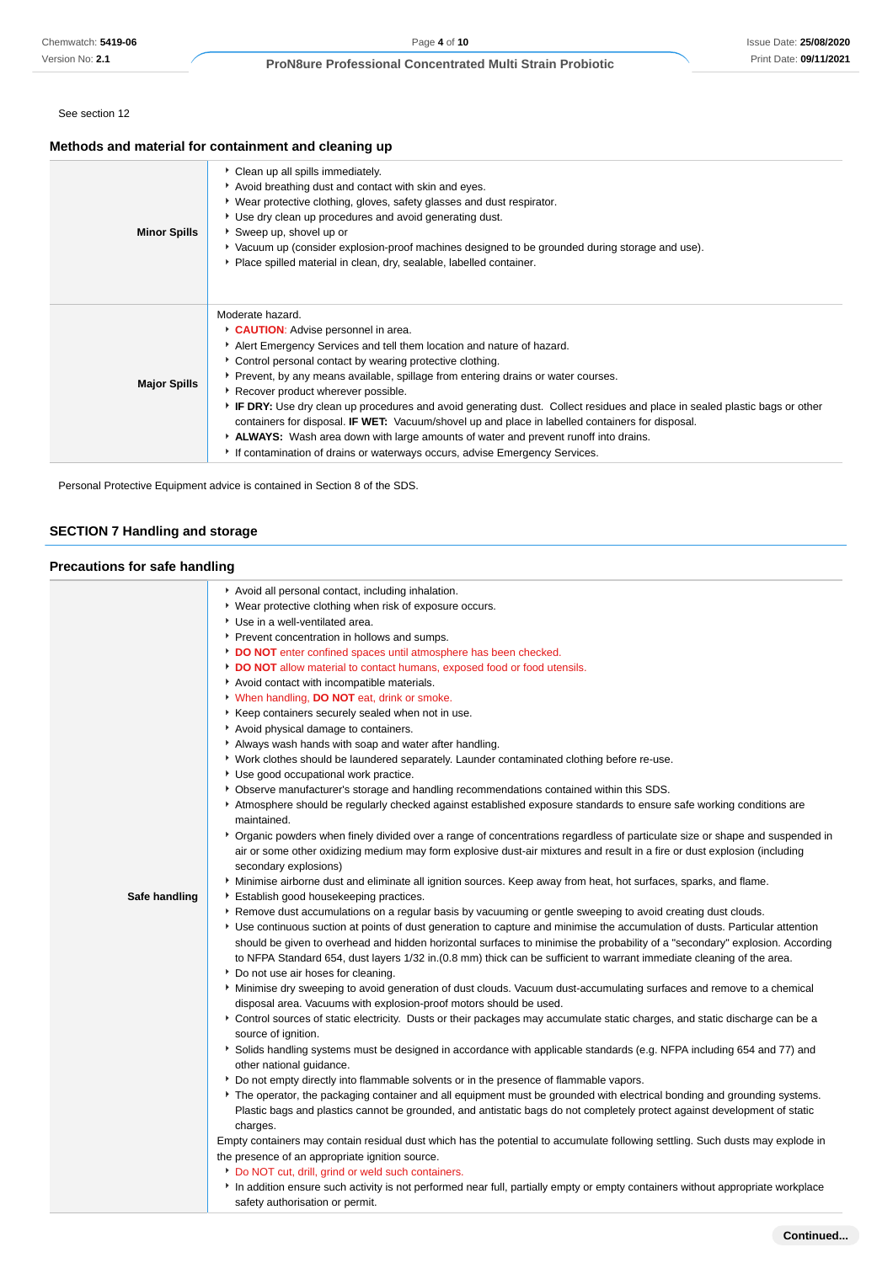See section 12

# **Methods and material for containment and cleaning up**

| <b>Minor Spills</b> | Clean up all spills immediately.<br>Avoid breathing dust and contact with skin and eyes.<br>▸ Wear protective clothing, gloves, safety glasses and dust respirator.<br>• Use dry clean up procedures and avoid generating dust.<br>Sweep up, shovel up or<br>▶ Vacuum up (consider explosion-proof machines designed to be grounded during storage and use).<br>Place spilled material in clean, dry, sealable, labelled container.                                                                                                                                                                                                                                                                                              |
|---------------------|----------------------------------------------------------------------------------------------------------------------------------------------------------------------------------------------------------------------------------------------------------------------------------------------------------------------------------------------------------------------------------------------------------------------------------------------------------------------------------------------------------------------------------------------------------------------------------------------------------------------------------------------------------------------------------------------------------------------------------|
| <b>Major Spills</b> | Moderate hazard.<br>CAUTION: Advise personnel in area.<br>Alert Emergency Services and tell them location and nature of hazard.<br>• Control personal contact by wearing protective clothing.<br>▶ Prevent, by any means available, spillage from entering drains or water courses.<br>Recover product wherever possible.<br>▶ IF DRY: Use dry clean up procedures and avoid generating dust. Collect residues and place in sealed plastic bags or other<br>containers for disposal. IF WET: Vacuum/shovel up and place in labelled containers for disposal.<br>ALWAYS: Wash area down with large amounts of water and prevent runoff into drains.<br>If contamination of drains or waterways occurs, advise Emergency Services. |

Personal Protective Equipment advice is contained in Section 8 of the SDS.

# **SECTION 7 Handling and storage**

# **Precautions for safe handling**

|               | Avoid all personal contact, including inhalation.                                                                                                                 |
|---------------|-------------------------------------------------------------------------------------------------------------------------------------------------------------------|
|               | • Wear protective clothing when risk of exposure occurs.                                                                                                          |
|               | Use in a well-ventilated area.                                                                                                                                    |
|               | Prevent concentration in hollows and sumps.                                                                                                                       |
|               | DO NOT enter confined spaces until atmosphere has been checked.                                                                                                   |
|               | DO NOT allow material to contact humans, exposed food or food utensils.                                                                                           |
|               | Avoid contact with incompatible materials.                                                                                                                        |
|               | When handling, DO NOT eat, drink or smoke.                                                                                                                        |
|               | Keep containers securely sealed when not in use.                                                                                                                  |
|               | Avoid physical damage to containers.                                                                                                                              |
|               | Always wash hands with soap and water after handling.                                                                                                             |
|               | ▶ Work clothes should be laundered separately. Launder contaminated clothing before re-use.                                                                       |
|               | Use good occupational work practice.                                                                                                                              |
|               | ▶ Observe manufacturer's storage and handling recommendations contained within this SDS.                                                                          |
|               | Atmosphere should be regularly checked against established exposure standards to ensure safe working conditions are<br>maintained.                                |
|               | ▶ Organic powders when finely divided over a range of concentrations regardless of particulate size or shape and suspended in                                     |
|               | air or some other oxidizing medium may form explosive dust-air mixtures and result in a fire or dust explosion (including<br>secondary explosions)                |
|               | Minimise airborne dust and eliminate all ignition sources. Keep away from heat, hot surfaces, sparks, and flame.                                                  |
| Safe handling | Establish good housekeeping practices.                                                                                                                            |
|               | ▶ Remove dust accumulations on a regular basis by vacuuming or gentle sweeping to avoid creating dust clouds.                                                     |
|               | ▶ Use continuous suction at points of dust generation to capture and minimise the accumulation of dusts. Particular attention                                     |
|               | should be given to overhead and hidden horizontal surfaces to minimise the probability of a "secondary" explosion. According                                      |
|               | to NFPA Standard 654, dust layers 1/32 in. (0.8 mm) thick can be sufficient to warrant immediate cleaning of the area.                                            |
|               | Do not use air hoses for cleaning.                                                                                                                                |
|               | Minimise dry sweeping to avoid generation of dust clouds. Vacuum dust-accumulating surfaces and remove to a chemical                                              |
|               | disposal area. Vacuums with explosion-proof motors should be used.                                                                                                |
|               | Control sources of static electricity. Dusts or their packages may accumulate static charges, and static discharge can be a<br>source of ignition.                |
|               | Solids handling systems must be designed in accordance with applicable standards (e.g. NFPA including 654 and 77) and<br>other national guidance.                 |
|               | ▶ Do not empty directly into flammable solvents or in the presence of flammable vapors.                                                                           |
|               | ▶ The operator, the packaging container and all equipment must be grounded with electrical bonding and grounding systems.                                         |
|               | Plastic bags and plastics cannot be grounded, and antistatic bags do not completely protect against development of static                                         |
|               | charges.                                                                                                                                                          |
|               | Empty containers may contain residual dust which has the potential to accumulate following settling. Such dusts may explode in                                    |
|               | the presence of an appropriate ignition source.                                                                                                                   |
|               | Do NOT cut, drill, grind or weld such containers.                                                                                                                 |
|               | In addition ensure such activity is not performed near full, partially empty or empty containers without appropriate workplace<br>safety authorisation or permit. |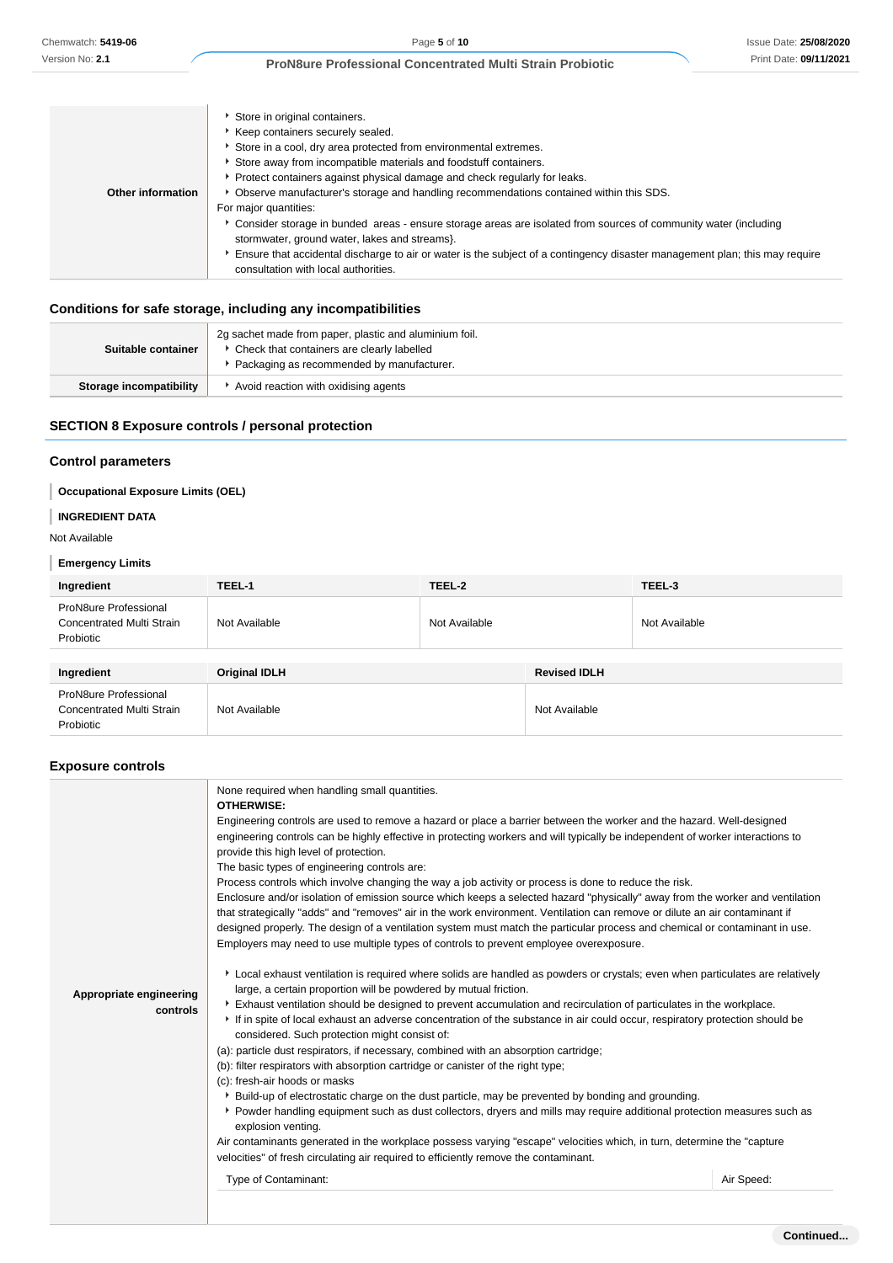|                   | Store in original containers.                                                                                               |
|-------------------|-----------------------------------------------------------------------------------------------------------------------------|
|                   | ▶ Keep containers securely sealed.                                                                                          |
|                   | Store in a cool, dry area protected from environmental extremes.                                                            |
|                   | Store away from incompatible materials and foodstuff containers.                                                            |
|                   | Protect containers against physical damage and check regularly for leaks.                                                   |
| Other information | Observe manufacturer's storage and handling recommendations contained within this SDS.                                      |
|                   | For major quantities:                                                                                                       |
|                   | ▶ Consider storage in bunded areas - ensure storage areas are isolated from sources of community water (including           |
|                   | stormwater, ground water, lakes and streams}.                                                                               |
|                   | Ensure that accidental discharge to air or water is the subject of a contingency disaster management plan; this may require |
|                   | consultation with local authorities.                                                                                        |
|                   |                                                                                                                             |

# **Conditions for safe storage, including any incompatibilities**

| Suitable container      | 2g sachet made from paper, plastic and aluminium foil.<br>Check that containers are clearly labelled<br>Packaging as recommended by manufacturer. |
|-------------------------|---------------------------------------------------------------------------------------------------------------------------------------------------|
| Storage incompatibility | Avoid reaction with oxidising agents                                                                                                              |

# **SECTION 8 Exposure controls / personal protection**

# **Control parameters**

# **Occupational Exposure Limits (OEL)**

# **INGREDIENT DATA**

# Not Available

# **Emergency Limits**

| Ingredient                                                             | TEEL-1               | TEEL-2        |                     | TEEL-3        |
|------------------------------------------------------------------------|----------------------|---------------|---------------------|---------------|
| ProN8ure Professional<br>Concentrated Multi Strain<br>Probiotic        | Not Available        | Not Available |                     | Not Available |
|                                                                        |                      |               |                     |               |
| Ingredient                                                             | <b>Original IDLH</b> |               | <b>Revised IDLH</b> |               |
| ProN8ure Professional<br><b>Concentrated Multi Strain</b><br>Probiotic | Not Available        |               | Not Available       |               |

# **Exposure controls**

| Appropriate engineering<br>controls | None required when handling small quantities.<br><b>OTHERWISE:</b><br>Engineering controls are used to remove a hazard or place a barrier between the worker and the hazard. Well-designed<br>engineering controls can be highly effective in protecting workers and will typically be independent of worker interactions to<br>provide this high level of protection.<br>The basic types of engineering controls are:<br>Process controls which involve changing the way a job activity or process is done to reduce the risk.<br>Enclosure and/or isolation of emission source which keeps a selected hazard "physically" away from the worker and ventilation<br>that strategically "adds" and "removes" air in the work environment. Ventilation can remove or dilute an air contaminant if<br>designed properly. The design of a ventilation system must match the particular process and chemical or contaminant in use.<br>Employers may need to use multiple types of controls to prevent employee overexposure.<br>Local exhaust ventilation is required where solids are handled as powders or crystals; even when particulates are relatively<br>large, a certain proportion will be powdered by mutual friction.<br>Exhaust ventilation should be designed to prevent accumulation and recirculation of particulates in the workplace.<br>If in spite of local exhaust an adverse concentration of the substance in air could occur, respiratory protection should be<br>considered. Such protection might consist of:<br>(a): particle dust respirators, if necessary, combined with an absorption cartridge;<br>(b): filter respirators with absorption cartridge or canister of the right type;<br>(c): fresh-air hoods or masks<br>▶ Build-up of electrostatic charge on the dust particle, may be prevented by bonding and grounding.<br>Powder handling equipment such as dust collectors, dryers and mills may require additional protection measures such as<br>explosion venting.<br>Air contaminants generated in the workplace possess varying "escape" velocities which, in turn, determine the "capture"<br>velocities" of fresh circulating air required to efficiently remove the contaminant.<br>Type of Contaminant:<br>Air Speed: |
|-------------------------------------|-----------------------------------------------------------------------------------------------------------------------------------------------------------------------------------------------------------------------------------------------------------------------------------------------------------------------------------------------------------------------------------------------------------------------------------------------------------------------------------------------------------------------------------------------------------------------------------------------------------------------------------------------------------------------------------------------------------------------------------------------------------------------------------------------------------------------------------------------------------------------------------------------------------------------------------------------------------------------------------------------------------------------------------------------------------------------------------------------------------------------------------------------------------------------------------------------------------------------------------------------------------------------------------------------------------------------------------------------------------------------------------------------------------------------------------------------------------------------------------------------------------------------------------------------------------------------------------------------------------------------------------------------------------------------------------------------------------------------------------------------------------------------------------------------------------------------------------------------------------------------------------------------------------------------------------------------------------------------------------------------------------------------------------------------------------------------------------------------------------------------------------------------------------------------------------------------------------------------------------------------------------------|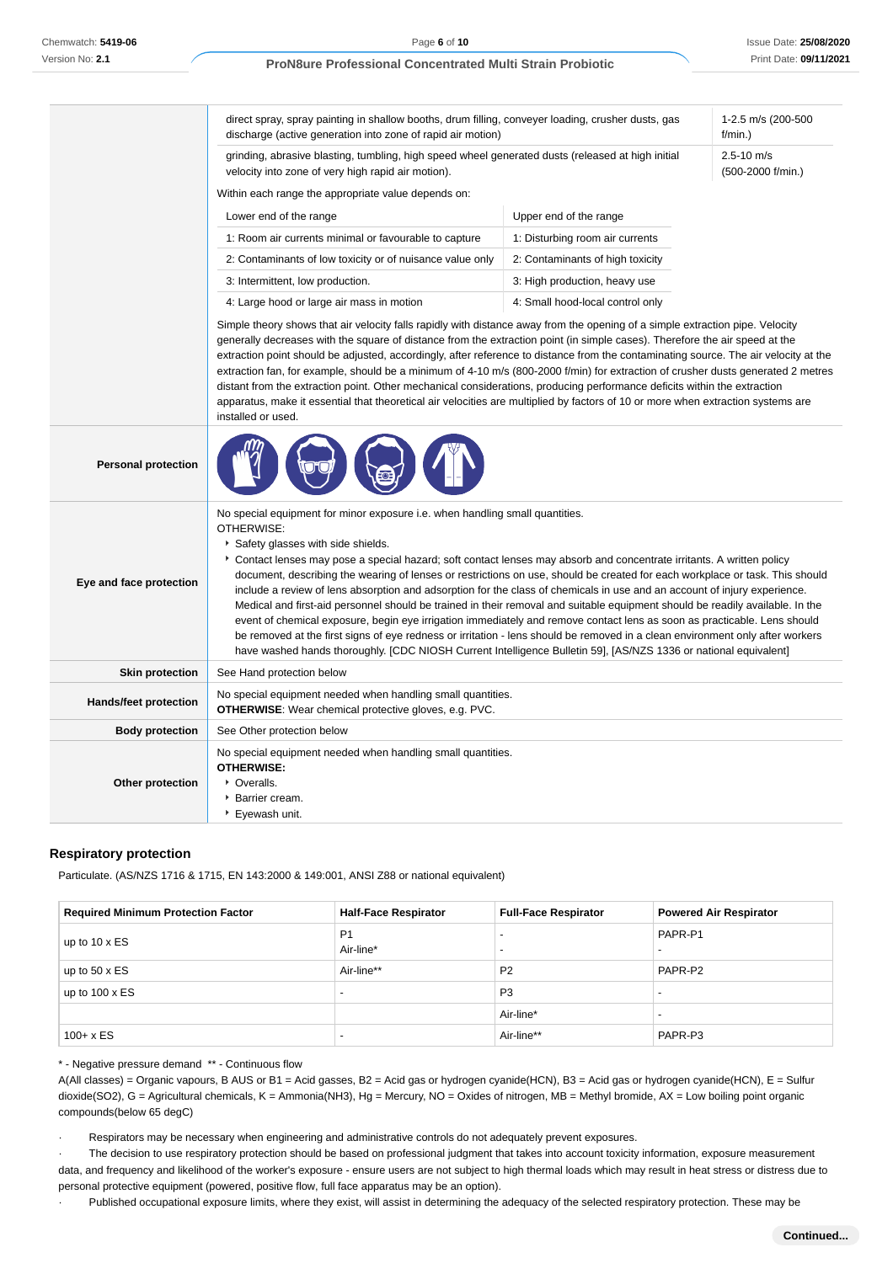|                              | direct spray, spray painting in shallow booths, drum filling, conveyer loading, crusher dusts, gas<br>discharge (active generation into zone of rapid air motion)<br>grinding, abrasive blasting, tumbling, high speed wheel generated dusts (released at high initial<br>velocity into zone of very high rapid air motion).                                                                                                                                                                                                                                                                                                                                                                                                                                                                                                                                                                                                                                                                                                           |                                  | 1-2.5 m/s (200-500<br>f/min.        |
|------------------------------|----------------------------------------------------------------------------------------------------------------------------------------------------------------------------------------------------------------------------------------------------------------------------------------------------------------------------------------------------------------------------------------------------------------------------------------------------------------------------------------------------------------------------------------------------------------------------------------------------------------------------------------------------------------------------------------------------------------------------------------------------------------------------------------------------------------------------------------------------------------------------------------------------------------------------------------------------------------------------------------------------------------------------------------|----------------------------------|-------------------------------------|
|                              |                                                                                                                                                                                                                                                                                                                                                                                                                                                                                                                                                                                                                                                                                                                                                                                                                                                                                                                                                                                                                                        |                                  | $2.5 - 10$ m/s<br>(500-2000 f/min.) |
|                              | Within each range the appropriate value depends on:                                                                                                                                                                                                                                                                                                                                                                                                                                                                                                                                                                                                                                                                                                                                                                                                                                                                                                                                                                                    |                                  |                                     |
|                              | Lower end of the range                                                                                                                                                                                                                                                                                                                                                                                                                                                                                                                                                                                                                                                                                                                                                                                                                                                                                                                                                                                                                 | Upper end of the range           |                                     |
|                              | 1: Room air currents minimal or favourable to capture                                                                                                                                                                                                                                                                                                                                                                                                                                                                                                                                                                                                                                                                                                                                                                                                                                                                                                                                                                                  | 1: Disturbing room air currents  |                                     |
|                              | 2: Contaminants of low toxicity or of nuisance value only                                                                                                                                                                                                                                                                                                                                                                                                                                                                                                                                                                                                                                                                                                                                                                                                                                                                                                                                                                              | 2: Contaminants of high toxicity |                                     |
|                              | 3: Intermittent, low production.                                                                                                                                                                                                                                                                                                                                                                                                                                                                                                                                                                                                                                                                                                                                                                                                                                                                                                                                                                                                       | 3: High production, heavy use    |                                     |
|                              | 4: Large hood or large air mass in motion                                                                                                                                                                                                                                                                                                                                                                                                                                                                                                                                                                                                                                                                                                                                                                                                                                                                                                                                                                                              | 4: Small hood-local control only |                                     |
|                              | generally decreases with the square of distance from the extraction point (in simple cases). Therefore the air speed at the<br>extraction point should be adjusted, accordingly, after reference to distance from the contaminating source. The air velocity at the<br>extraction fan, for example, should be a minimum of 4-10 m/s (800-2000 f/min) for extraction of crusher dusts generated 2 metres<br>distant from the extraction point. Other mechanical considerations, producing performance deficits within the extraction<br>apparatus, make it essential that theoretical air velocities are multiplied by factors of 10 or more when extraction systems are<br>installed or used.                                                                                                                                                                                                                                                                                                                                          |                                  |                                     |
| <b>Personal protection</b>   |                                                                                                                                                                                                                                                                                                                                                                                                                                                                                                                                                                                                                                                                                                                                                                                                                                                                                                                                                                                                                                        |                                  |                                     |
| Eye and face protection      | No special equipment for minor exposure i.e. when handling small quantities.<br>OTHERWISE:<br>Safety glasses with side shields.<br>Contact lenses may pose a special hazard; soft contact lenses may absorb and concentrate irritants. A written policy<br>document, describing the wearing of lenses or restrictions on use, should be created for each workplace or task. This should<br>include a review of lens absorption and adsorption for the class of chemicals in use and an account of injury experience.<br>Medical and first-aid personnel should be trained in their removal and suitable equipment should be readily available. In the<br>event of chemical exposure, begin eye irrigation immediately and remove contact lens as soon as practicable. Lens should<br>be removed at the first signs of eye redness or irritation - lens should be removed in a clean environment only after workers<br>have washed hands thoroughly. [CDC NIOSH Current Intelligence Bulletin 59], [AS/NZS 1336 or national equivalent] |                                  |                                     |
| <b>Skin protection</b>       | See Hand protection below                                                                                                                                                                                                                                                                                                                                                                                                                                                                                                                                                                                                                                                                                                                                                                                                                                                                                                                                                                                                              |                                  |                                     |
| <b>Hands/feet protection</b> | No special equipment needed when handling small quantities.<br><b>OTHERWISE:</b> Wear chemical protective gloves, e.g. PVC.                                                                                                                                                                                                                                                                                                                                                                                                                                                                                                                                                                                                                                                                                                                                                                                                                                                                                                            |                                  |                                     |
| <b>Body protection</b>       | See Other protection below                                                                                                                                                                                                                                                                                                                                                                                                                                                                                                                                                                                                                                                                                                                                                                                                                                                                                                                                                                                                             |                                  |                                     |
| Other protection             | No special equipment needed when handling small quantities.<br><b>OTHERWISE:</b><br>• Overalls.<br>Barrier cream.<br>▶ Eyewash unit.                                                                                                                                                                                                                                                                                                                                                                                                                                                                                                                                                                                                                                                                                                                                                                                                                                                                                                   |                                  |                                     |

# **Respiratory protection**

Particulate. (AS/NZS 1716 & 1715, EN 143:2000 & 149:001, ANSI Z88 or national equivalent)

| <b>Required Minimum Protection Factor</b> | <b>Half-Face Respirator</b> | <b>Full-Face Respirator</b> | <b>Powered Air Respirator</b> |
|-------------------------------------------|-----------------------------|-----------------------------|-------------------------------|
| up to $10 \times ES$                      | P <sub>1</sub><br>Air-line* | $\overline{\phantom{0}}$    | PAPR-P1                       |
| up to $50 \times ES$                      | Air-line**                  | P <sub>2</sub>              | PAPR-P2                       |
| up to $100 \times ES$                     | $\overline{\phantom{0}}$    | P <sub>3</sub>              |                               |
|                                           |                             | Air-line*                   |                               |
| $100 + x ES$                              | -                           | Air-line**                  | PAPR-P3                       |

\* - Negative pressure demand \*\* - Continuous flow

A(All classes) = Organic vapours, B AUS or B1 = Acid gasses, B2 = Acid gas or hydrogen cyanide(HCN), B3 = Acid gas or hydrogen cyanide(HCN), E = Sulfur dioxide(SO2), G = Agricultural chemicals, K = Ammonia(NH3), Hg = Mercury, NO = Oxides of nitrogen, MB = Methyl bromide, AX = Low boiling point organic compounds(below 65 degC)

Respirators may be necessary when engineering and administrative controls do not adequately prevent exposures.

The decision to use respiratory protection should be based on professional judgment that takes into account toxicity information, exposure measurement data, and frequency and likelihood of the worker's exposure - ensure users are not subject to high thermal loads which may result in heat stress or distress due to personal protective equipment (powered, positive flow, full face apparatus may be an option).

Published occupational exposure limits, where they exist, will assist in determining the adequacy of the selected respiratory protection. These may be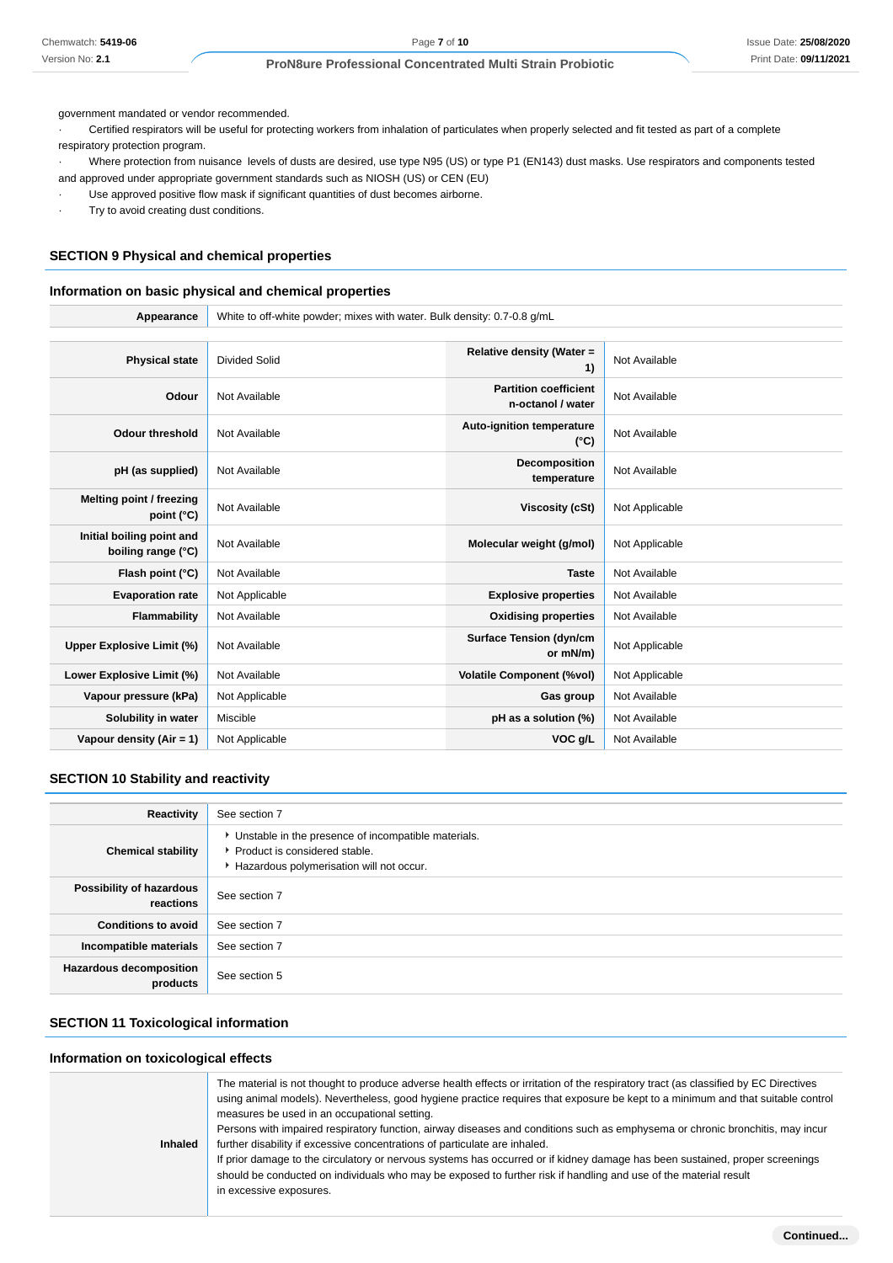government mandated or vendor recommended.

· Certified respirators will be useful for protecting workers from inhalation of particulates when properly selected and fit tested as part of a complete respiratory protection program.

· Where protection from nuisance levels of dusts are desired, use type N95 (US) or type P1 (EN143) dust masks. Use respirators and components tested and approved under appropriate government standards such as NIOSH (US) or CEN (EU)

- Use approved positive flow mask if significant quantities of dust becomes airborne.
- · Try to avoid creating dust conditions.

# **SECTION 9 Physical and chemical properties**

#### **Information on basic physical and chemical properties**

**Appearance** White to off-white powder; mixes with water. Bulk density: 0.7-0.8 g/mL

| <b>Physical state</b>                           | Divided Solid  | Relative density (Water =<br>1)                   | Not Available  |
|-------------------------------------------------|----------------|---------------------------------------------------|----------------|
| Odour                                           | Not Available  | <b>Partition coefficient</b><br>n-octanol / water | Not Available  |
| <b>Odour threshold</b>                          | Not Available  | Auto-ignition temperature<br>$(^{\circ}C)$        | Not Available  |
| pH (as supplied)                                | Not Available  | Decomposition<br>temperature                      | Not Available  |
| Melting point / freezing<br>point $(^{\circ}C)$ | Not Available  | Viscosity (cSt)                                   | Not Applicable |
| Initial boiling point and<br>boiling range (°C) | Not Available  | Molecular weight (g/mol)                          | Not Applicable |
| Flash point (°C)                                | Not Available  | <b>Taste</b>                                      | Not Available  |
| <b>Evaporation rate</b>                         | Not Applicable | <b>Explosive properties</b>                       | Not Available  |
| Flammability                                    | Not Available  | <b>Oxidising properties</b>                       | Not Available  |
| Upper Explosive Limit (%)                       | Not Available  | <b>Surface Tension (dyn/cm</b><br>or mN/m)        | Not Applicable |
| Lower Explosive Limit (%)                       | Not Available  | <b>Volatile Component (%vol)</b>                  | Not Applicable |
| Vapour pressure (kPa)                           | Not Applicable | Gas group                                         | Not Available  |
| Solubility in water                             | Miscible       | pH as a solution (%)                              | Not Available  |
| Vapour density (Air = 1)                        | Not Applicable | VOC g/L                                           | Not Available  |

# **SECTION 10 Stability and reactivity**

| Reactivity                                 | See section 7                                                                                                                        |
|--------------------------------------------|--------------------------------------------------------------------------------------------------------------------------------------|
| <b>Chemical stability</b>                  | • Unstable in the presence of incompatible materials.<br>▶ Product is considered stable.<br>Hazardous polymerisation will not occur. |
| Possibility of hazardous<br>reactions      | See section 7                                                                                                                        |
| <b>Conditions to avoid</b>                 | See section 7                                                                                                                        |
| Incompatible materials                     | See section 7                                                                                                                        |
| <b>Hazardous decomposition</b><br>products | See section 5                                                                                                                        |

# **SECTION 11 Toxicological information**

#### **Information on toxicological effects**

| <b>Inhaled</b> | The material is not thought to produce adverse health effects or irritation of the respiratory tract (as classified by EC Directives<br>using animal models). Nevertheless, good hygiene practice requires that exposure be kept to a minimum and that suitable control<br>measures be used in an occupational setting.<br>Persons with impaired respiratory function, airway diseases and conditions such as emphysema or chronic bronchitis, may incur<br>further disability if excessive concentrations of particulate are inhaled.<br>If prior damage to the circulatory or nervous systems has occurred or if kidney damage has been sustained, proper screenings<br>should be conducted on individuals who may be exposed to further risk if handling and use of the material result<br>in excessive exposures. |
|----------------|-----------------------------------------------------------------------------------------------------------------------------------------------------------------------------------------------------------------------------------------------------------------------------------------------------------------------------------------------------------------------------------------------------------------------------------------------------------------------------------------------------------------------------------------------------------------------------------------------------------------------------------------------------------------------------------------------------------------------------------------------------------------------------------------------------------------------|
|----------------|-----------------------------------------------------------------------------------------------------------------------------------------------------------------------------------------------------------------------------------------------------------------------------------------------------------------------------------------------------------------------------------------------------------------------------------------------------------------------------------------------------------------------------------------------------------------------------------------------------------------------------------------------------------------------------------------------------------------------------------------------------------------------------------------------------------------------|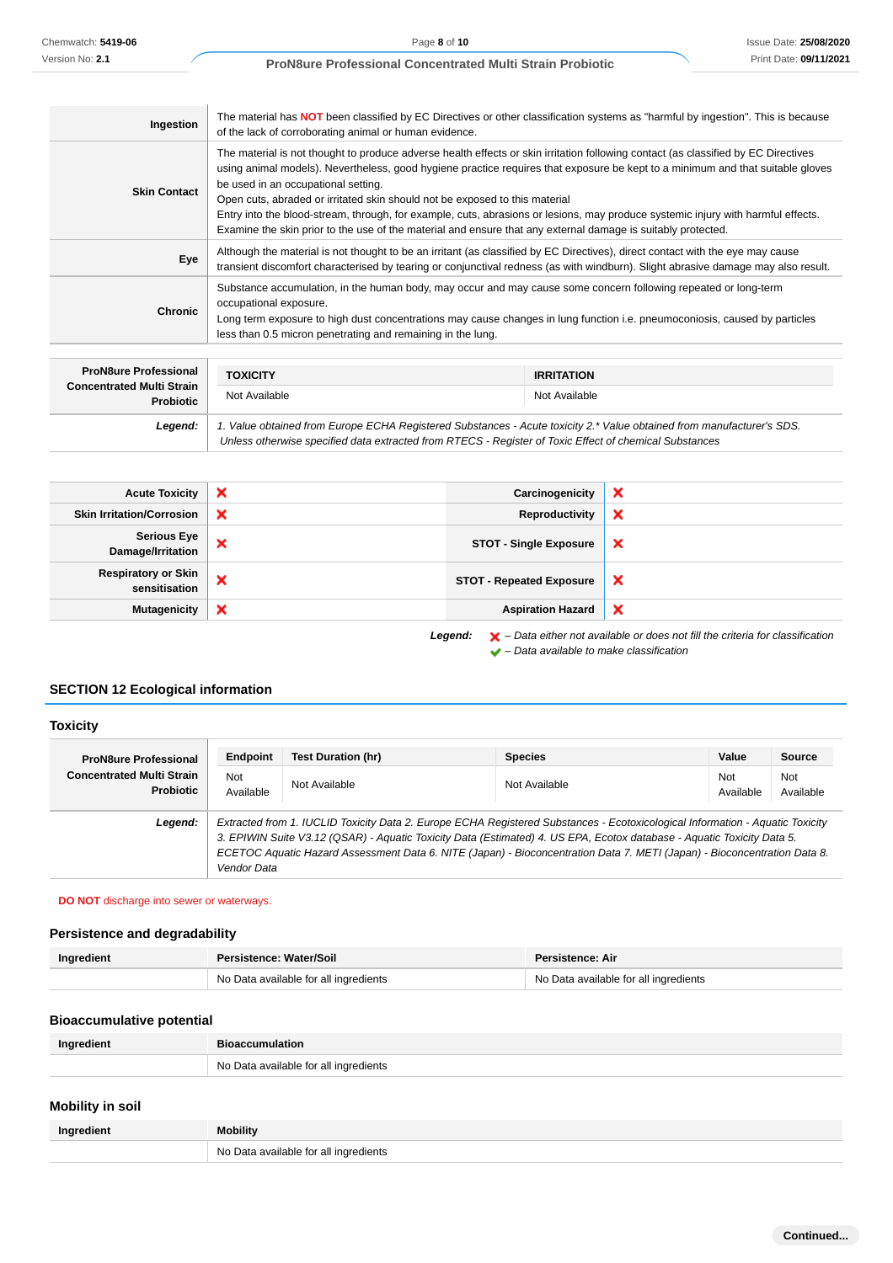| Ingestion           | The material has <b>NOT</b> been classified by EC Directives or other classification systems as "harmful by ingestion". This is because<br>of the lack of corroborating animal or human evidence.                                                                                                                                                                                                                                                                                                                                                                                                                                              |
|---------------------|------------------------------------------------------------------------------------------------------------------------------------------------------------------------------------------------------------------------------------------------------------------------------------------------------------------------------------------------------------------------------------------------------------------------------------------------------------------------------------------------------------------------------------------------------------------------------------------------------------------------------------------------|
| <b>Skin Contact</b> | The material is not thought to produce adverse health effects or skin irritation following contact (as classified by EC Directives<br>using animal models). Nevertheless, good hygiene practice requires that exposure be kept to a minimum and that suitable gloves<br>be used in an occupational setting.<br>Open cuts, abraded or irritated skin should not be exposed to this material<br>Entry into the blood-stream, through, for example, cuts, abrasions or lesions, may produce systemic injury with harmful effects.<br>Examine the skin prior to the use of the material and ensure that any external damage is suitably protected. |
| Eye                 | Although the material is not thought to be an irritant (as classified by EC Directives), direct contact with the eye may cause<br>transient discomfort characterised by tearing or conjunctival redness (as with windburn). Slight abrasive damage may also result.                                                                                                                                                                                                                                                                                                                                                                            |
| <b>Chronic</b>      | Substance accumulation, in the human body, may occur and may cause some concern following repeated or long-term<br>occupational exposure.<br>Long term exposure to high dust concentrations may cause changes in lung function i.e. pneumoconiosis, caused by particles<br>less than 0.5 micron penetrating and remaining in the lung.                                                                                                                                                                                                                                                                                                         |
|                     |                                                                                                                                                                                                                                                                                                                                                                                                                                                                                                                                                                                                                                                |

| <b>ProN8ure Professional</b>                         | <b>TOXICITY</b>                                                                                                                                                                                                                 | <b>IRRITATION</b> |  |
|------------------------------------------------------|---------------------------------------------------------------------------------------------------------------------------------------------------------------------------------------------------------------------------------|-------------------|--|
| <b>Concentrated Multi Strain</b><br><b>Probiotic</b> | Not Available                                                                                                                                                                                                                   | Not Available     |  |
| Legend:                                              | 1. Value obtained from Europe ECHA Registered Substances - Acute toxicity 2.* Value obtained from manufacturer's SDS.<br>Unless otherwise specified data extracted from RTECS - Register of Toxic Effect of chemical Substances |                   |  |

| <b>Acute Toxicity</b>                                                                  | × | Carcinogenicity                 | ×                         |
|----------------------------------------------------------------------------------------|---|---------------------------------|---------------------------|
| <b>Skin Irritation/Corrosion</b>                                                       | × | Reproductivity                  | ×                         |
| <b>Serious Eye</b><br>Damage/Irritation                                                | × | <b>STOT - Single Exposure</b>   | ×                         |
| <b>Respiratory or Skin</b><br>sensitisation                                            | × | <b>STOT - Repeated Exposure</b> | $\boldsymbol{\mathsf{x}}$ |
| <b>Mutagenicity</b>                                                                    | × | <b>Aspiration Hazard</b>        | $\boldsymbol{\mathsf{x}}$ |
| Lessaule U. Dete either not evolleble er dese not fill the eriteris for eleccification |   |                                 |                           |

Legend:  $\mathsf{X}$  – Data either not available or does not fill the criteria for classification  $\blacktriangleright$  – Data available to make classification

# **SECTION 12 Ecological information**

#### **Toxicity ProN8ure Professional Concentrated Multi Strain Probiotic Endpoint Test Duration (hr) Species Value Source** Not Not<br>Available Not Available Not Available<br>Available Ava Available Not Available **Legend:** Extracted from 1. IUCLID Toxicity Data 2. Europe ECHA Registered Substances - Ecotoxicological Information - Aquatic Toxicity 3. EPIWIN Suite V3.12 (QSAR) - Aquatic Toxicity Data (Estimated) 4. US EPA, Ecotox database - Aquatic Toxicity Data 5. ECETOC Aquatic Hazard Assessment Data 6. NITE (Japan) - Bioconcentration Data 7. METI (Japan) - Bioconcentration Data 8. Vendor Data

#### **DO NOT** discharge into sewer or waterways.

# **Persistence and degradability**

| Ingredient | Persistence: Water/Soil               | <b>Persistence: Air</b>               |
|------------|---------------------------------------|---------------------------------------|
|            | No Data available for all ingredients | No Data available for all ingredients |

# **Bioaccumulative potential**

| Ingredient | <b>Bioaccumulation</b>                |
|------------|---------------------------------------|
|            | No Data available for all ingredients |

# **Mobility in soil**

| Ingredient | <b>Mobility</b>                       |
|------------|---------------------------------------|
|            | No Data available for all ingredients |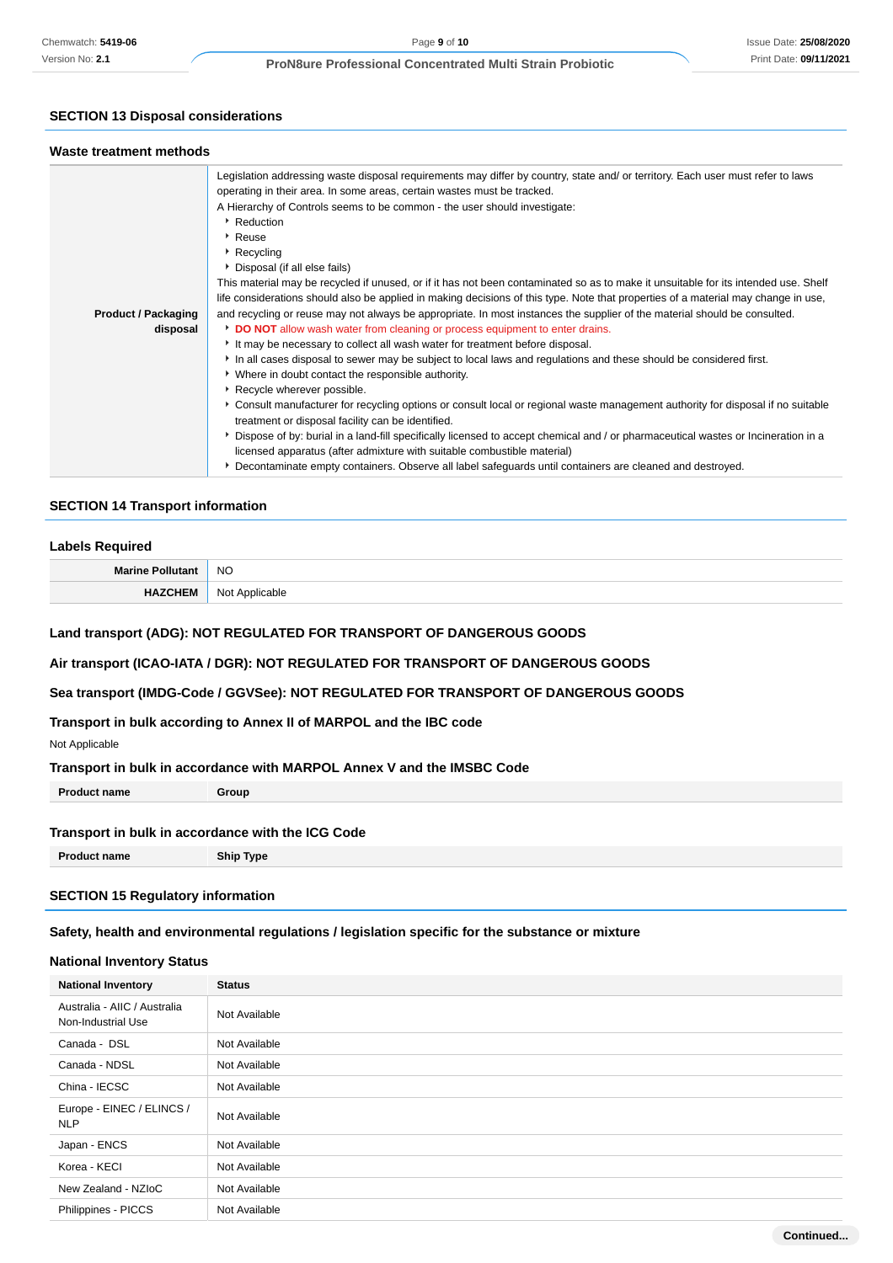# **SECTION 13 Disposal considerations**

## **Waste treatment methods**

|                            | Legislation addressing waste disposal requirements may differ by country, state and/ or territory. Each user must refer to laws     |
|----------------------------|-------------------------------------------------------------------------------------------------------------------------------------|
|                            | operating in their area. In some areas, certain wastes must be tracked.                                                             |
|                            | A Hierarchy of Controls seems to be common - the user should investigate:                                                           |
|                            | Reduction                                                                                                                           |
|                            | ▸ Reuse                                                                                                                             |
|                            | Recycling                                                                                                                           |
|                            | ▶ Disposal (if all else fails)                                                                                                      |
|                            | This material may be recycled if unused, or if it has not been contaminated so as to make it unsuitable for its intended use. Shelf |
|                            | life considerations should also be applied in making decisions of this type. Note that properties of a material may change in use,  |
| <b>Product / Packaging</b> | and recycling or reuse may not always be appropriate. In most instances the supplier of the material should be consulted.           |
| disposal                   | <b>DO NOT</b> allow wash water from cleaning or process equipment to enter drains.                                                  |
|                            | It may be necessary to collect all wash water for treatment before disposal.                                                        |
|                            | In all cases disposal to sewer may be subject to local laws and regulations and these should be considered first.                   |
|                            | • Where in doubt contact the responsible authority.                                                                                 |
|                            | Recycle wherever possible.                                                                                                          |
|                            | ► Consult manufacturer for recycling options or consult local or regional waste management authority for disposal if no suitable    |
|                            | treatment or disposal facility can be identified.                                                                                   |
|                            | Dispose of by: burial in a land-fill specifically licensed to accept chemical and / or pharmaceutical wastes or Incineration in a   |
|                            | licensed apparatus (after admixture with suitable combustible material)                                                             |
|                            | ▶ Decontaminate empty containers. Observe all label safeguards until containers are cleaned and destroyed.                          |

# **SECTION 14 Transport information**

#### **Labels Required**

| Marin.     | <b>NO</b>                                                |
|------------|----------------------------------------------------------|
| 1172011111 | N <sub>0</sub><br>∩hle<br>$\sim$ 1900 $\sim$<br>.<br>. . |

# **Land transport (ADG): NOT REGULATED FOR TRANSPORT OF DANGEROUS GOODS**

**Air transport (ICAO-IATA / DGR): NOT REGULATED FOR TRANSPORT OF DANGEROUS GOODS**

# **Sea transport (IMDG-Code / GGVSee): NOT REGULATED FOR TRANSPORT OF DANGEROUS GOODS**

# **Transport in bulk according to Annex II of MARPOL and the IBC code**

Not Applicable

# **Transport in bulk in accordance with MARPOL Annex V and the IMSBC Code**

**Product name Group**

# **Transport in bulk in accordance with the ICG Code**

**Product name Ship Type**

# **SECTION 15 Regulatory information**

# **Safety, health and environmental regulations / legislation specific for the substance or mixture**

# **National Inventory Status**

| <b>National Inventory</b>                          | <b>Status</b> |
|----------------------------------------------------|---------------|
| Australia - AIIC / Australia<br>Non-Industrial Use | Not Available |
| Canada - DSL                                       | Not Available |
| Canada - NDSL                                      | Not Available |
| China - IECSC                                      | Not Available |
| Europe - EINEC / ELINCS /<br><b>NLP</b>            | Not Available |
| Japan - ENCS                                       | Not Available |
| Korea - KECI                                       | Not Available |
| New Zealand - NZIoC                                | Not Available |
| Philippines - PICCS                                | Not Available |